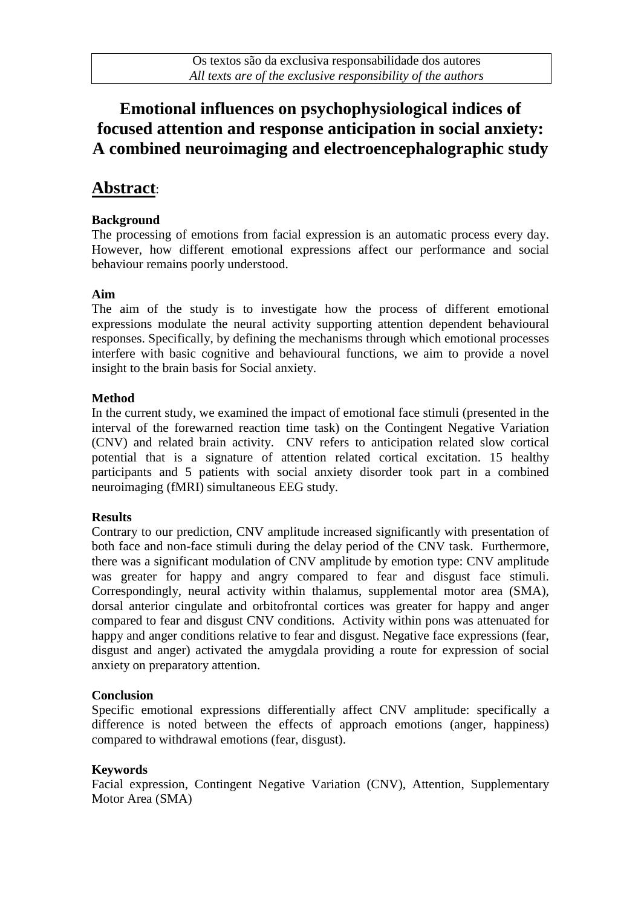## **Emotional influences on psychophysiological indices of focused attention and response anticipation in social anxiety: A combined neuroimaging and electroencephalographic study**

### **Abstract**:

#### **Background**

The processing of emotions from facial expression is an automatic process every day. However, how different emotional expressions affect our performance and social behaviour remains poorly understood.

#### **Aim**

The aim of the study is to investigate how the process of different emotional expressions modulate the neural activity supporting attention dependent behavioural responses. Specifically, by defining the mechanisms through which emotional processes interfere with basic cognitive and behavioural functions, we aim to provide a novel insight to the brain basis for Social anxiety.

#### **Method**

In the current study, we examined the impact of emotional face stimuli (presented in the interval of the forewarned reaction time task) on the Contingent Negative Variation (CNV) and related brain activity. CNV refers to anticipation related slow cortical potential that is a signature of attention related cortical excitation. 15 healthy participants and 5 patients with social anxiety disorder took part in a combined neuroimaging (fMRI) simultaneous EEG study.

#### **Results**

Contrary to our prediction, CNV amplitude increased significantly with presentation of both face and non-face stimuli during the delay period of the CNV task. Furthermore, there was a significant modulation of CNV amplitude by emotion type: CNV amplitude was greater for happy and angry compared to fear and disgust face stimuli. Correspondingly, neural activity within thalamus, supplemental motor area (SMA), dorsal anterior cingulate and orbitofrontal cortices was greater for happy and anger compared to fear and disgust CNV conditions. Activity within pons was attenuated for happy and anger conditions relative to fear and disgust. Negative face expressions (fear, disgust and anger) activated the amygdala providing a route for expression of social anxiety on preparatory attention.

#### **Conclusion**

Specific emotional expressions differentially affect CNV amplitude: specifically a difference is noted between the effects of approach emotions (anger, happiness) compared to withdrawal emotions (fear, disgust).

#### **Keywords**

Facial expression, Contingent Negative Variation (CNV), Attention, Supplementary Motor Area (SMA)